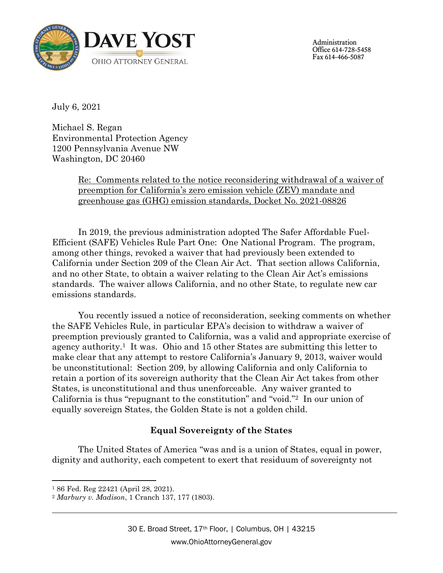

Administration Office 614-728-5458 Fax 614-466-5087

July 6, 2021

Michael S. Regan Environmental Protection Agency 1200 Pennsylvania Avenue NW Washington, DC 20460

> Re: Comments related to the notice reconsidering withdrawal of a waiver of preemption for California's zero emission vehicle (ZEV) mandate and greenhouse gas (GHG) emission standards, Docket No. 2021-08826

In 2019, the previous administration adopted The Safer Affordable Fuel-Efficient (SAFE) Vehicles Rule Part One: One National Program. The program, among other things, revoked a waiver that had previously been extended to California under Section 209 of the Clean Air Act. That section allows California, and no other State, to obtain a waiver relating to the Clean Air Act's emissions standards. The waiver allows California, and no other State, to regulate new car emissions standards.

You recently issued a notice of reconsideration, seeking comments on whether the SAFE Vehicles Rule, in particular EPA's decision to withdraw a waiver of preemption previously granted to California, was a valid and appropriate exercise of agency authority. <sup>1</sup> It was. Ohio and 15 other States are submitting this letter to make clear that any attempt to restore California's January 9, 2013, waiver would be unconstitutional: Section 209, by allowing California and only California to retain a portion of its sovereign authority that the Clean Air Act takes from other States, is unconstitutional and thus unenforceable. Any waiver granted to California is thus "repugnant to the constitution" and "void."2 In our union of equally sovereign States, the Golden State is not a golden child.

## **Equal Sovereignty of the States**

The United States of America "was and is a union of States, equal in power, dignity and authority, each competent to exert that residuum of sovereignty not

l <sup>1</sup> 86 Fed. Reg 22421 (April 28, 2021).

<sup>2</sup> *Marbury v. Madison*, 1 Cranch 137, 177 (1803).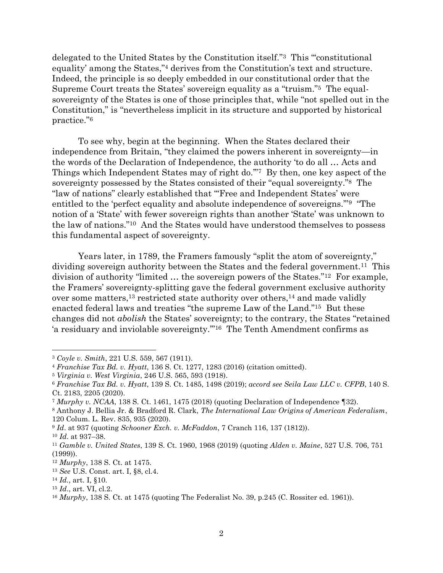delegated to the United States by the Constitution itself."3 This "'constitutional equality' among the States,"<sup>4</sup> derives from the Constitution's text and structure. Indeed, the principle is so deeply embedded in our constitutional order that the Supreme Court treats the States' sovereign equality as a "truism." 5 The equalsovereignty of the States is one of those principles that, while "not spelled out in the Constitution," is "nevertheless implicit in its structure and supported by historical practice."<sup>6</sup>

To see why, begin at the beginning. When the States declared their independence from Britain, "they claimed the powers inherent in sovereignty—in the words of the Declaration of Independence, the authority 'to do all … Acts and Things which Independent States may of right do.'"7 By then, one key aspect of the sovereignty possessed by the States consisted of their "equal sovereignty."8 The "law of nations" clearly established that "'Free and Independent States' were entitled to the 'perfect equality and absolute independence of sovereigns.'"<sup>9</sup> "The notion of a 'State' with fewer sovereign rights than another 'State' was unknown to the law of nations."10 And the States would have understood themselves to possess this fundamental aspect of sovereignty.

Years later, in 1789, the Framers famously "split the atom of sovereignty," dividing sovereign authority between the States and the federal government.<sup>11</sup> This division of authority "limited … the sovereign powers of the States."12 For example, the Framers' sovereignty-splitting gave the federal government exclusive authority over some matters,<sup>13</sup> restricted state authority over others,<sup>14</sup> and made validly enacted federal laws and treaties "the supreme Law of the Land." <sup>15</sup> But these changes did not *abolish* the States' sovereignty; to the contrary, the States "retained 'a residuary and inviolable sovereignty.'"16 The Tenth Amendment confirms as

<sup>3</sup> *Coyle v. Smith*, 221 U.S. 559, 567 (1911).

<sup>4</sup> *Franchise Tax Bd. v. Hyatt*, 136 S. Ct. 1277, 1283 (2016) (citation omitted).

<sup>5</sup> *Virginia v. West Virginia*, 246 U.S. 565, 593 (1918).

<sup>6</sup> *Franchise Tax Bd. v. Hyatt*, 139 S. Ct. 1485, 1498 (2019); *accord see Seila Law LLC v. CFPB*, 140 S. Ct. 2183, 2205 (2020).

<sup>7</sup> *Murphy v. NCAA*, 138 S. Ct. 1461, 1475 (2018) (quoting Declaration of Independence ¶32).

<sup>8</sup> Anthony J. Bellia Jr. & Bradford R. Clark, *The International Law Origins of American Federalism*, 120 Colum. L. Rev. 835, 935 (2020).

<sup>9</sup> *Id*. at 937 (quoting *Schooner Exch. v. McFaddon*, 7 Cranch 116, 137 (1812)).

<sup>10</sup> *Id*. at 937–38.

<sup>11</sup> *Gamble v. United States*, 139 S. Ct. 1960, 1968 (2019) (quoting *Alden v. Maine*, 527 U.S. 706, 751 (1999)).

<sup>12</sup> *Murphy*, 138 S. Ct. at 1475.

<sup>13</sup> *See* U.S. Const. art. I, §8, cl.4.

<sup>14</sup> *Id.*, art. I, §10.

<sup>15</sup> *Id*., art. VI, cl.2.

<sup>16</sup> *Murphy*, 138 S. Ct. at 1475 (quoting The Federalist No. 39, p.245 (C. Rossiter ed. 1961)).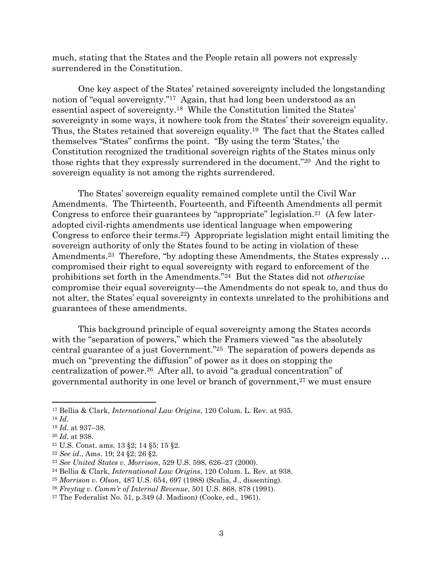much, stating that the States and the People retain all powers not expressly surrendered in the Constitution.

One key aspect of the States' retained sovereignty included the longstanding notion of "equal sovereignty."17 Again, that had long been understood as an essential aspect of sovereignty.<sup>18</sup> While the Constitution limited the States' sovereignty in some ways, it nowhere took from the States' their sovereign equality. Thus, the States retained that sovereign equality. <sup>19</sup> The fact that the States called themselves "States" confirms the point. "By using the term 'States,' the Constitution recognized the traditional sovereign rights of the States minus only those rights that they expressly surrendered in the document."20 And the right to sovereign equality is not among the rights surrendered.

The States' sovereign equality remained complete until the Civil War Amendments. The Thirteenth, Fourteenth, and Fifteenth Amendments all permit Congress to enforce their guarantees by "appropriate" legislation.21 (A few lateradopted civil-rights amendments use identical language when empowering Congress to enforce their terms. <sup>22</sup>) Appropriate legislation might entail limiting the sovereign authority of only the States found to be acting in violation of these Amendments.<sup>23</sup> Therefore, "by adopting these Amendments, the States expressly ... compromised their right to equal sovereignty with regard to enforcement of the prohibitions set forth in the Amendments."24 But the States did not *otherwise*  compromise their equal sovereignty—the Amendments do not speak to, and thus do not alter, the States' equal sovereignty in contexts unrelated to the prohibitions and guarantees of these amendments.

This background principle of equal sovereignty among the States accords with the "separation of powers," which the Framers viewed "as the absolutely central guarantee of a just Government."25 The separation of powers depends as much on "preventing the diffusion" of power as it does on stopping the centralization of power.<sup>26</sup> After all, to avoid "a gradual concentration" of governmental authority in one level or branch of government,<sup>27</sup> we must ensure

<sup>17</sup> Bellia & Clark, *International Law Origins*, 120 Colum. L. Rev. at 935.

<sup>18</sup> *Id*.

<sup>19</sup> *Id*. at 937–38.

<sup>20</sup> *Id*. at 938.

<sup>21</sup> U.S. Const. ams. 13 §2; 14 §5; 15 §2.

<sup>22</sup> *See id*., Ams. 19; 24 §2; 26 §2.

<sup>23</sup> *See United States v. Morrison*, 529 U.S. 598, 626–27 (2000).

<sup>24</sup> Bellia & Clark, *International Law Origins*, 120 Colum. L. Rev. at 938.

<sup>25</sup> *Morrison v. Olson*, 487 U.S. 654, 697 (1988) (Scalia, J., dissenting).

<sup>26</sup> *Freytag v. Comm'r of Internal Revenue*, 501 U.S. 868, 878 (1991).

<sup>27</sup> The Federalist No. 51, p.349 (J. Madison) (Cooke, ed., 1961).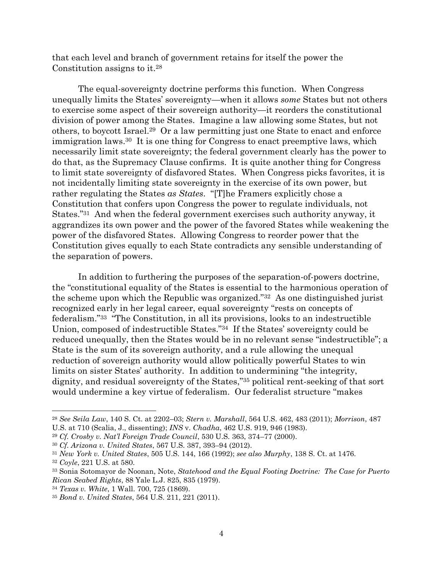that each level and branch of government retains for itself the power the Constitution assigns to it.<sup>28</sup>

The equal-sovereignty doctrine performs this function. When Congress unequally limits the States' sovereignty—when it allows *some* States but not others to exercise some aspect of their sovereign authority—it reorders the constitutional division of power among the States. Imagine a law allowing some States, but not others, to boycott Israel.29 Or a law permitting just one State to enact and enforce immigration laws.30 It is one thing for Congress to enact preemptive laws, which necessarily limit state sovereignty; the federal government clearly has the power to do that, as the Supremacy Clause confirms. It is quite another thing for Congress to limit state sovereignty of disfavored States. When Congress picks favorites, it is not incidentally limiting state sovereignty in the exercise of its own power, but rather regulating the States *as States*. "[T]he Framers explicitly chose a Constitution that confers upon Congress the power to regulate individuals, not States."31 And when the federal government exercises such authority anyway, it aggrandizes its own power and the power of the favored States while weakening the power of the disfavored States. Allowing Congress to reorder power that the Constitution gives equally to each State contradicts any sensible understanding of the separation of powers.

In addition to furthering the purposes of the separation-of-powers doctrine, the "constitutional equality of the States is essential to the harmonious operation of the scheme upon which the Republic was organized."<sup>32</sup> As one distinguished jurist recognized early in her legal career, equal sovereignty "rests on concepts of federalism."<sup>33</sup> "The Constitution, in all its provisions, looks to an indestructible Union, composed of indestructible States."<sup>34</sup> If the States' sovereignty could be reduced unequally, then the States would be in no relevant sense "indestructible"; a State is the sum of its sovereign authority, and a rule allowing the unequal reduction of sovereign authority would allow politically powerful States to win limits on sister States' authority. In addition to undermining "the integrity, dignity, and residual sovereignty of the States,"<sup>35</sup> political rent-seeking of that sort would undermine a key virtue of federalism. Our federalist structure "makes

<sup>28</sup> *See Seila Law*, 140 S. Ct. at 2202–03; *Stern v. Marshall*, 564 U.S. 462, 483 (2011); *Morrison*, 487 U.S. at 710 (Scalia, J., dissenting); *INS* v. *Chadha*, 462 U.S. 919, 946 (1983).

<sup>29</sup> *Cf. Crosby v. Nat'l Foreign Trade Council*, 530 U.S. 363, 374–77 (2000).

<sup>30</sup> *Cf. Arizona v. United States*, 567 U.S. 387, 393–94 (2012).

<sup>31</sup> *New York v. United States*, 505 U.S. 144, 166 (1992); *see also Murphy*, 138 S. Ct. at 1476.

<sup>32</sup> *Coyle*, 221 U.S. at 580.

<sup>33</sup> Sonia Sotomayor de Noonan, Note, *Statehood and the Equal Footing Doctrine: The Case for Puerto Rican Seabed Rights*, 88 Yale L.J. 825, 835 (1979).

<sup>34</sup> *Texas v. White*, 1 Wall. 700, 725 (1869).

<sup>35</sup> *Bond v. United States*, 564 U.S. 211, 221 (2011).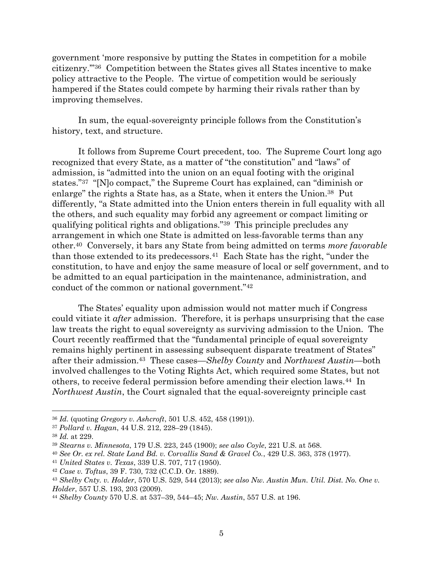government 'more responsive by putting the States in competition for a mobile citizenry.'"36 Competition between the States gives all States incentive to make policy attractive to the People. The virtue of competition would be seriously hampered if the States could compete by harming their rivals rather than by improving themselves.

In sum, the equal-sovereignty principle follows from the Constitution's history, text, and structure.

It follows from Supreme Court precedent, too. The Supreme Court long ago recognized that every State, as a matter of "the constitution" and "laws" of admission, is "admitted into the union on an equal footing with the original states." <sup>37</sup> "[N]o compact," the Supreme Court has explained, can "diminish or enlarge" the rights a State has, as a State, when it enters the Union.<sup>38</sup> Put differently, "a State admitted into the Union enters therein in full equality with all the others, and such equality may forbid any agreement or compact limiting or qualifying political rights and obligations."39 This principle precludes any arrangement in which one State is admitted on less-favorable terms than any other.40 Conversely, it bars any State from being admitted on terms *more favorable*  than those extended to its predecessors.41 Each State has the right, "under the constitution, to have and enjoy the same measure of local or self government, and to be admitted to an equal participation in the maintenance, administration, and conduct of the common or national government."<sup>42</sup>

The States' equality upon admission would not matter much if Congress could vitiate it *after* admission. Therefore, it is perhaps unsurprising that the case law treats the right to equal sovereignty as surviving admission to the Union. The Court recently reaffirmed that the "fundamental principle of equal sovereignty remains highly pertinent in assessing subsequent disparate treatment of States" after their admission.43 These cases—*Shelby County* and *Northwest Austin*—both involved challenges to the Voting Rights Act, which required some States, but not others, to receive federal permission before amending their election laws.44 In *Northwest Austin*, the Court signaled that the equal-sovereignty principle cast

<sup>41</sup> *United States v. Texas*, 339 U.S. 707, 717 (1950).

<sup>36</sup> *Id.* (quoting *Gregory v. Ashcroft*, 501 U.S. 452, 458 (1991)).

<sup>37</sup> *Pollard v. Hagan*, 44 U.S. 212, 228–29 (1845).

<sup>38</sup> *Id.* at 229.

<sup>39</sup> *Stearns v. Minnesota*, 179 U.S. 223, 245 (1900); *see also Coyle*, 221 U.S. at 568.

<sup>40</sup> *See Or. ex rel. State Land Bd. v. Corvallis Sand & Gravel Co.*, 429 U.S. 363, 378 (1977).

<sup>42</sup> *Case v. Toftus*, 39 F. 730, 732 (C.C.D. Or. 1889).

<sup>43</sup> *Shelby Cnty. v. Holder*, 570 U.S. 529, 544 (2013); *see also Nw. Austin Mun. Util. Dist. No. One v. Holder*, 557 U.S. 193, 203 (2009).

<sup>44</sup> *Shelby County* 570 U.S. at 537–39, 544–45; *Nw. Austin*, 557 U.S. at 196.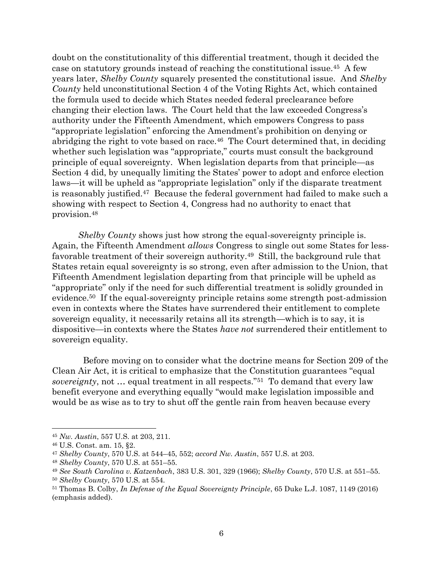doubt on the constitutionality of this differential treatment, though it decided the case on statutory grounds instead of reaching the constitutional issue.45 A few years later, *Shelby County* squarely presented the constitutional issue. And *Shelby County* held unconstitutional Section 4 of the Voting Rights Act, which contained the formula used to decide which States needed federal preclearance before changing their election laws. The Court held that the law exceeded Congress's authority under the Fifteenth Amendment, which empowers Congress to pass "appropriate legislation" enforcing the Amendment's prohibition on denying or abridging the right to vote based on race.46 The Court determined that, in deciding whether such legislation was "appropriate," courts must consult the background principle of equal sovereignty. When legislation departs from that principle—as Section 4 did, by unequally limiting the States' power to adopt and enforce election laws—it will be upheld as "appropriate legislation" only if the disparate treatment is reasonably justified.47 Because the federal government had failed to make such a showing with respect to Section 4, Congress had no authority to enact that provision.<sup>48</sup>

*Shelby County* shows just how strong the equal-sovereignty principle is. Again, the Fifteenth Amendment *allows* Congress to single out some States for lessfavorable treatment of their sovereign authority.49 Still, the background rule that States retain equal sovereignty is so strong, even after admission to the Union, that Fifteenth Amendment legislation departing from that principle will be upheld as "appropriate" only if the need for such differential treatment is solidly grounded in evidence.50 If the equal-sovereignty principle retains some strength post-admission even in contexts where the States have surrendered their entitlement to complete sovereign equality, it necessarily retains all its strength—which is to say, it is dispositive—in contexts where the States *have not* surrendered their entitlement to sovereign equality.

 Before moving on to consider what the doctrine means for Section 209 of the Clean Air Act, it is critical to emphasize that the Constitution guarantees "equal *sovereignty*, not … equal treatment in all respects."51 To demand that every law benefit everyone and everything equally "would make legislation impossible and would be as wise as to try to shut off the gentle rain from heaven because every

<sup>45</sup> *Nw. Austin*, 557 U.S. at 203, 211.

<sup>46</sup> U.S. Const. am. 15, §2.

<sup>47</sup> *Shelby County*, 570 U.S. at 544–45, 552; *accord Nw. Austin*, 557 U.S. at 203.

<sup>48</sup> *Shelby County*, 570 U.S. at 551–55.

<sup>49</sup> *See South Carolina v. Katzenbach*, 383 U.S. 301, 329 (1966); *Shelby County*, 570 U.S. at 551–55.

<sup>50</sup> *Shelby County*, 570 U.S. at 554.

<sup>51</sup> Thomas B. Colby, *In Defense of the Equal Sovereignty Principle*, 65 Duke L.J. 1087, 1149 (2016) (emphasis added).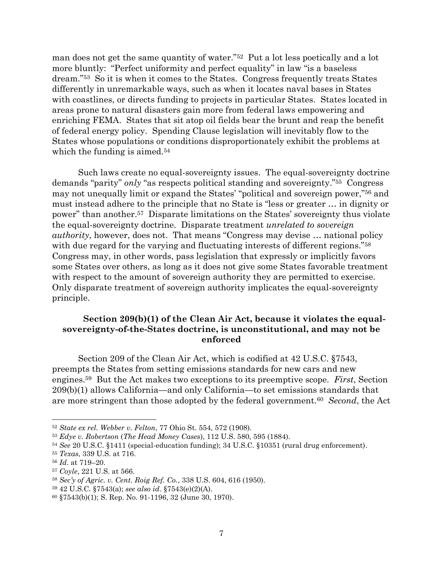man does not get the same quantity of water."52 Put a lot less poetically and a lot more bluntly: "Perfect uniformity and perfect equality" in law "is a baseless dream."53 So it is when it comes to the States. Congress frequently treats States differently in unremarkable ways, such as when it locates naval bases in States with coastlines, or directs funding to projects in particular States. States located in areas prone to natural disasters gain more from federal laws empowering and enriching FEMA. States that sit atop oil fields bear the brunt and reap the benefit of federal energy policy. Spending Clause legislation will inevitably flow to the States whose populations or conditions disproportionately exhibit the problems at which the funding is aimed.<sup>54</sup>

Such laws create no equal-sovereignty issues. The equal-sovereignty doctrine demands "parity" *only* "as respects political standing and sovereignty."<sup>55</sup> Congress may not unequally limit or expand the States' "political and sovereign power," <sup>56</sup> and must instead adhere to the principle that no State is "less or greater … in dignity or power" than another. <sup>57</sup> Disparate limitations on the States' sovereignty thus violate the equal-sovereignty doctrine. Disparate treatment *unrelated to sovereign authority*, however, does not. That means "Congress may devise … national policy with due regard for the varying and fluctuating interests of different regions."<sup>58</sup> Congress may, in other words, pass legislation that expressly or implicitly favors some States over others, as long as it does not give some States favorable treatment with respect to the amount of sovereign authority they are permitted to exercise. Only disparate treatment of sovereign authority implicates the equal-sovereignty principle.

## **Section 209(b)(1) of the Clean Air Act, because it violates the equalsovereignty-of-the-States doctrine, is unconstitutional, and may not be enforced**

Section 209 of the Clean Air Act, which is codified at 42 U.S.C. §7543, preempts the States from setting emissions standards for new cars and new engines.59 But the Act makes two exceptions to its preemptive scope. *First*, Section 209(b)(1) allows California—and only California—to set emissions standards that are more stringent than those adopted by the federal government.<sup>60</sup> *Second*, the Act

<sup>52</sup> *State ex rel. Webber v. Felton*, 77 Ohio St. 554, 572 (1908).

<sup>53</sup> *Edye v. Robertson* (*The Head Money Cases*), 112 U.S. 580, 595 (1884).

<sup>54</sup> *See* 20 U.S.C. §1411 (special-education funding); 34 U.S.C. §10351 (rural drug enforcement).

<sup>55</sup> *Texas*, 339 U.S. at 716.

<sup>56</sup> *Id*. at 719–20.

<sup>57</sup> *Coyle*, 221 U.S. at 566.

<sup>58</sup> *Sec'y of Agric. v. Cent. Roig Ref. Co.*, 338 U.S. 604, 616 (1950).

<sup>59</sup> 42 U.S.C. §7543(a); *see also id*. §7543(e)(2)(A).

<sup>60</sup> §7543(b)(1); S. Rep. No. 91-1196, 32 (June 30, 1970).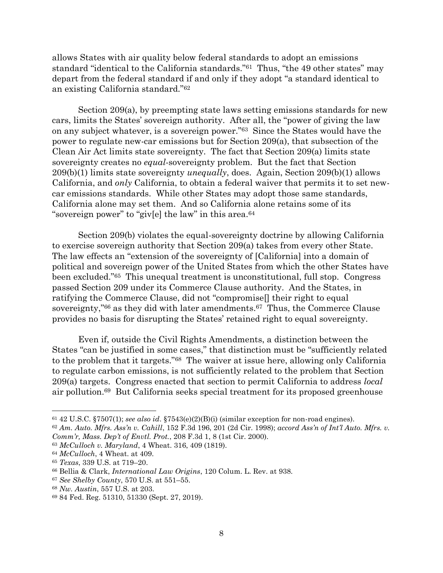allows States with air quality below federal standards to adopt an emissions standard "identical to the California standards."<sup>61</sup> Thus, "the 49 other states" may depart from the federal standard if and only if they adopt "a standard identical to an existing California standard."<sup>62</sup>

Section 209(a), by preempting state laws setting emissions standards for new cars, limits the States' sovereign authority. After all, the "power of giving the law on any subject whatever, is a sovereign power."63 Since the States would have the power to regulate new-car emissions but for Section 209(a), that subsection of the Clean Air Act limits state sovereignty. The fact that Section 209(a) limits state sovereignty creates no *equal*-sovereignty problem. But the fact that Section 209(b)(1) limits state sovereignty *unequally*, does. Again, Section 209(b)(1) allows California, and *only* California, to obtain a federal waiver that permits it to set newcar emissions standards. While other States may adopt those same standards, California alone may set them. And so California alone retains some of its "sovereign power" to "giv[e] the law" in this area.<sup>64</sup>

Section 209(b) violates the equal-sovereignty doctrine by allowing California to exercise sovereign authority that Section 209(a) takes from every other State. The law effects an "extension of the sovereignty of [California] into a domain of political and sovereign power of the United States from which the other States have been excluded."65 This unequal treatment is unconstitutional, full stop. Congress passed Section 209 under its Commerce Clause authority. And the States, in ratifying the Commerce Clause, did not "compromise[] their right to equal sovereignty,"<sup>66</sup> as they did with later amendments.<sup>67</sup> Thus, the Commerce Clause provides no basis for disrupting the States' retained right to equal sovereignty.

Even if, outside the Civil Rights Amendments, a distinction between the States "can be justified in some cases," that distinction must be "sufficiently related to the problem that it targets."68 The waiver at issue here, allowing only California to regulate carbon emissions, is not sufficiently related to the problem that Section 209(a) targets. Congress enacted that section to permit California to address *local*  air pollution.69 But California seeks special treatment for its proposed greenhouse

<sup>61</sup> 42 U.S.C. §7507(1); *see also id*. §7543(e)(2)(B)(i) (similar exception for non-road engines).

<sup>62</sup> *Am. Auto. Mfrs. Ass'n v. Cahill*, 152 F.3d 196, 201 (2d Cir. 1998); *accord Ass'n of Int'l Auto. Mfrs. v. Comm'r, Mass. Dep't of Envtl. Prot.*, 208 F.3d 1, 8 (1st Cir. 2000).

<sup>63</sup> *McCulloch v. Maryland*, 4 Wheat. 316, 409 (1819).

<sup>64</sup> *McCulloch*, 4 Wheat. at 409.

<sup>65</sup> *Texas*, 339 U.S. at 719–20.

<sup>66</sup> Bellia & Clark, *International Law Origins*, 120 Colum. L. Rev. at 938.

<sup>67</sup> *See Shelby County*, 570 U.S. at 551–55.

<sup>68</sup> *Nw. Austin*, 557 U.S. at 203.

<sup>69</sup> 84 Fed. Reg. 51310, 51330 (Sept. 27, 2019).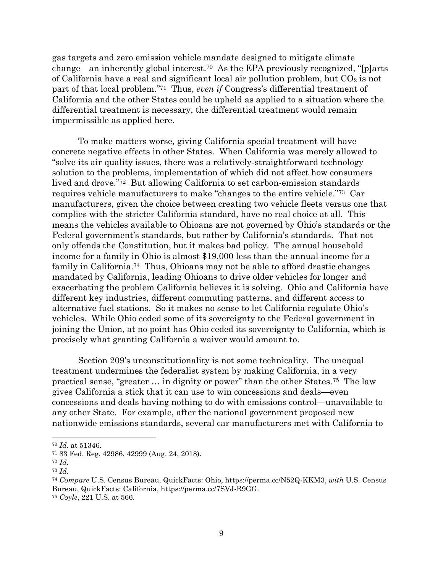gas targets and zero emission vehicle mandate designed to mitigate climate change—an inherently global interest.<sup>70</sup> As the EPA previously recognized, "[p]arts of California have a real and significant local air pollution problem, but  $CO<sub>2</sub>$  is not part of that local problem." <sup>71</sup> Thus, *even if* Congress's differential treatment of California and the other States could be upheld as applied to a situation where the differential treatment is necessary, the differential treatment would remain impermissible as applied here.

To make matters worse, giving California special treatment will have concrete negative effects in other States. When California was merely allowed to "solve its air quality issues, there was a relatively-straightforward technology solution to the problems, implementation of which did not affect how consumers lived and drove."72 But allowing California to set carbon-emission standards requires vehicle manufacturers to make "changes to the entire vehicle."73 Car manufacturers, given the choice between creating two vehicle fleets versus one that complies with the stricter California standard, have no real choice at all. This means the vehicles available to Ohioans are not governed by Ohio's standards or the Federal government's standards, but rather by California's standards. That not only offends the Constitution, but it makes bad policy. The annual household income for a family in Ohio is almost \$19,000 less than the annual income for a family in California. <sup>74</sup> Thus, Ohioans may not be able to afford drastic changes mandated by California, leading Ohioans to drive older vehicles for longer and exacerbating the problem California believes it is solving. Ohio and California have different key industries, different commuting patterns, and different access to alternative fuel stations. So it makes no sense to let California regulate Ohio's vehicles. While Ohio ceded some of its sovereignty to the Federal government in joining the Union, at no point has Ohio ceded its sovereignty to California, which is precisely what granting California a waiver would amount to.

Section 209's unconstitutionality is not some technicality. The unequal treatment undermines the federalist system by making California, in a very practical sense, "greater … in dignity or power" than the other States.75 The law gives California a stick that it can use to win concessions and deals—even concessions and deals having nothing to do with emissions control—unavailable to any other State. For example, after the national government proposed new nationwide emissions standards, several car manufacturers met with California to

<sup>74</sup> *Compare* U.S. Census Bureau, QuickFacts: Ohio, https://perma.cc/N52Q-KKM3, *with* U.S. Census Bureau, QuickFacts: California, https://perma.cc/7SVJ-R9GG.

<sup>70</sup> *Id*. at 51346.

<sup>71</sup> 83 Fed. Reg. 42986, 42999 (Aug. 24, 2018).

<sup>72</sup> *Id*.

<sup>73</sup> *Id*.

<sup>75</sup> *Coyle*, 221 U.S. at 566.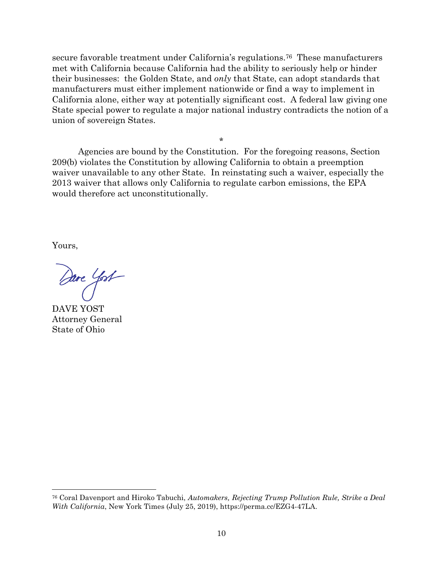secure favorable treatment under California's regulations.<sup>76</sup> These manufacturers met with California because California had the ability to seriously help or hinder their businesses: the Golden State, and *only* that State, can adopt standards that manufacturers must either implement nationwide or find a way to implement in California alone, either way at potentially significant cost. A federal law giving one State special power to regulate a major national industry contradicts the notion of a union of sovereign States.

Agencies are bound by the Constitution. For the foregoing reasons, Section 209(b) violates the Constitution by allowing California to obtain a preemption waiver unavailable to any other State. In reinstating such a waiver, especially the 2013 waiver that allows only California to regulate carbon emissions, the EPA would therefore act unconstitutionally.

\*

Yours,

Dave Yost

DAVE YOST Attorney General State of Ohio

<sup>76</sup> Coral Davenport and Hiroko Tabuchi, *Automakers, Rejecting Trump Pollution Rule, Strike a Deal With California*, New York Times (July 25, 2019), https://perma.cc/EZG4-47LA.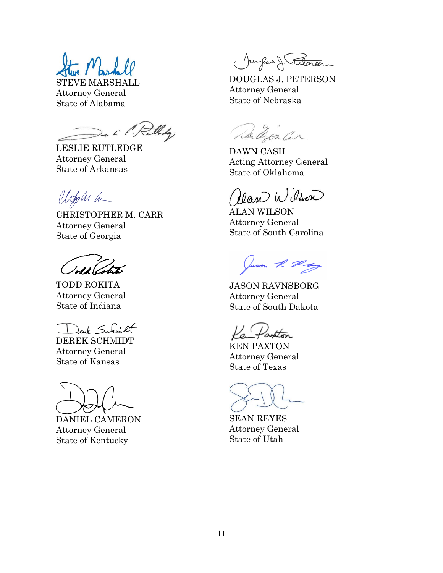STEVE MARSHALL Attorney General State of Alabama

De i l'Relledg

LESLIE RUTLEDGE Attorney General State of Arkansas

Upplu la

CHRISTOPHER M. CARR Attorney General State of Georgia

TODD ROKITA Attorney General State of Indiana

Deuk Schmit

DEREK SCHMIDT Attorney General State of Kansas

DANIEL CAMERON Attorney General State of Kentucky

Jourfas & Seteror

DOUGLAS J. PETERSON Attorney General State of Nebraska

Lla Chor Car

DAWN CASH Acting Attorney General State of Oklahoma

lan Wilson

ALAN WILSON Attorney General State of South Carolina

Juson R Ray

JASON RAVNSBORG Attorney General State of South Dakota

KEN PAXTON Attorney General State of Texas

SEAN REYES Attorney General State of Utah